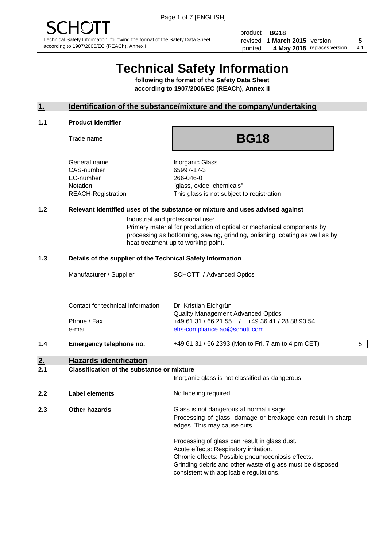product **BG18** revised **5 1 March 2015** version printed 4 May 2015 replaces version 4.1

# **Technical Safety Information**

**following the format of the Safety Data Sheet according to 1907/2006/EC (REACh), Annex II**

#### **1. Identification of the substance/mixture and the company/undertaking**

#### **1.1 Product Identifier**

Trade name

## **BG18**

General name **Inorganic Glass** CAS-number 65997-17-3 EC-number 266-046-0

Notation "glass, oxide, chemicals" REACH-Registration This glass is not subject to registration.

#### **1.2 Relevant identified uses of the substance or mixture and uses advised against**

Industrial and professional use: Primary material for production of optical or mechanical components by processing as hotforming, sawing, grinding, polishing, coating as well as by

heat treatment up to working point.

#### **1.3 Details of the supplier of the Technical Safety Information**

|     | Phone / Fax<br>e-mail   | +49 61 31 / 66 21 55 / +49 36 41 / 28 88 90 54<br>ehs-compliance.ao@schott.com |   |
|-----|-------------------------|--------------------------------------------------------------------------------|---|
|     |                         |                                                                                | 5 |
| 1.4 | Emergency telephone no. | +49 61 31 / 66 2393 (Mon to Fri, 7 am to 4 pm CET)                             |   |

### **2. Hazards identification**

#### **2.1 Classification of the substance or mixture**

|     |                       | Inorganic glass is not classified as dangerous.                                                                                                                                                           |
|-----|-----------------------|-----------------------------------------------------------------------------------------------------------------------------------------------------------------------------------------------------------|
| 2.2 | <b>Label elements</b> | No labeling required.                                                                                                                                                                                     |
| 2.3 | Other hazards         | Glass is not dangerous at normal usage.<br>Processing of glass, damage or breakage can result in sharp<br>edges. This may cause cuts.                                                                     |
|     |                       | Processing of glass can result in glass dust.<br>Acute effects: Respiratory irritation.<br>Chronic effects: Possible pneumoconiosis effects.<br>Grinding debris and other waste of glass must be disposed |

consistent with applicable regulations.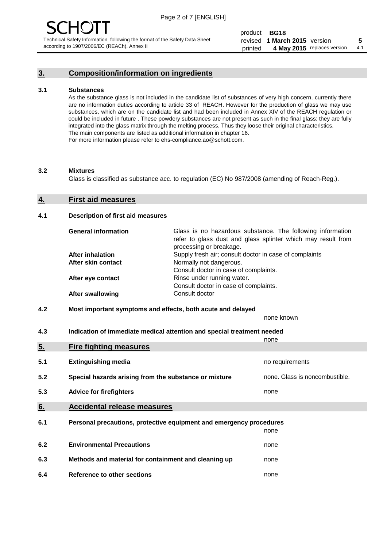#### **3. Composition/information on ingredients**

#### **3.1 Substances**

As the substance glass is not included in the candidate list of substances of very high concern, currently there are no information duties according to article 33 of REACH. However for the production of glass we may use substances, which are on the candidate list and had been included in Annex XIV of the REACH regulation or could be included in future . These powdery substances are not present as such in the final glass; they are fully integrated into the glass matrix through the melting process. Thus they loose their original characteristics. The main components are listed as additional information in chapter 16. For more information please refer to ehs-compliance.ao@schott.com.

#### **3.2 Mixtures**

Glass is classified as substance acc. to regulation (EC) No 987/2008 (amending of Reach-Reg.).

#### **4. First aid measures**

#### **4.1 Description of first aid measures**

| <b>General information</b> | Glass is no hazardous substance. The following information<br>refer to glass dust and glass splinter which may result from<br>processing or breakage. |
|----------------------------|-------------------------------------------------------------------------------------------------------------------------------------------------------|
| <b>After inhalation</b>    | Supply fresh air; consult doctor in case of complaints                                                                                                |
| After skin contact         | Normally not dangerous.                                                                                                                               |
|                            | Consult doctor in case of complaints.                                                                                                                 |
| After eye contact          | Rinse under running water.                                                                                                                            |
|                            | Consult doctor in case of complaints.                                                                                                                 |
| <b>After swallowing</b>    | Consult doctor                                                                                                                                        |

#### **4.2 Most important symptoms and effects, both acute and delayed**

none known

**4.3 Indication of immediate medical attention and special treatment needed** 

|     |                                                                     | none                           |
|-----|---------------------------------------------------------------------|--------------------------------|
| 5.  | <b>Fire fighting measures</b>                                       |                                |
| 5.1 | <b>Extinguishing media</b>                                          | no requirements                |
| 5.2 | Special hazards arising from the substance or mixture               | none. Glass is noncombustible. |
| 5.3 | <b>Advice for firefighters</b>                                      | none                           |
| 6.  | <b>Accidental release measures</b>                                  |                                |
| 6.1 | Personal precautions, protective equipment and emergency procedures |                                |
|     |                                                                     | none                           |
| 6.2 | <b>Environmental Precautions</b>                                    | none                           |
| 6.3 | Methods and material for containment and cleaning up                | none                           |
| 6.4 | Reference to other sections                                         | none                           |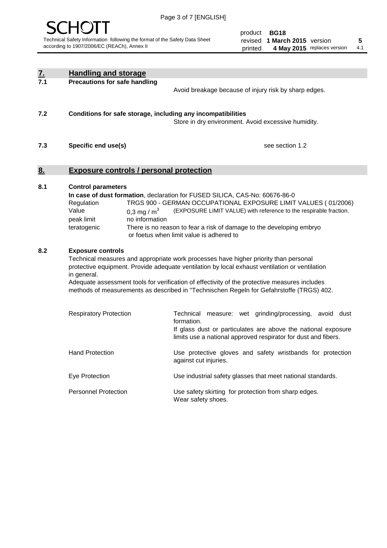

|                  | <b>Handling and storage</b>                                                   |                                 |                                                                                                                                                                                                                                                                                                                                                                                     |
|------------------|-------------------------------------------------------------------------------|---------------------------------|-------------------------------------------------------------------------------------------------------------------------------------------------------------------------------------------------------------------------------------------------------------------------------------------------------------------------------------------------------------------------------------|
| <u>7.</u><br>7.1 | <b>Precautions for safe handling</b>                                          |                                 | Avoid breakage because of injury risk by sharp edges.                                                                                                                                                                                                                                                                                                                               |
| 7.2              |                                                                               |                                 | Conditions for safe storage, including any incompatibilities<br>Store in dry environment. Avoid excessive humidity.                                                                                                                                                                                                                                                                 |
| 7.3              | Specific end use(s)                                                           |                                 | see section 1.2                                                                                                                                                                                                                                                                                                                                                                     |
| <u>8.</u>        | <b>Exposure controls / personal protection</b>                                |                                 |                                                                                                                                                                                                                                                                                                                                                                                     |
| 8.1              | <b>Control parameters</b><br>Regulation<br>Value<br>peak limit<br>teratogenic | 0,3 mg / $m3$<br>no information | In case of dust formation, declaration for FUSED SILICA, CAS-No: 60676-86-0<br>TRGS 900 - GERMAN OCCUPATIONAL EXPOSURE LIMIT VALUES (01/2006)<br>(EXPOSURE LIMIT VALUE) with reference to the respirable fraction.<br>There is no reason to fear a risk of damage to the developing embryo<br>or foetus when limit value is adhered to                                              |
| 8.2              | <b>Exposure controls</b><br>in general.                                       |                                 | Technical measures and appropriate work processes have higher priority than personal<br>protective equipment. Provide adequate ventilation by local exhaust ventilation or ventilation<br>Adequate assessment tools for verification of effectivity of the protective measures includes<br>methods of measurements as described in "Technischen Regeln for Gefahrstoffe (TRGS) 402. |
|                  | <b>Respiratory Protection</b>                                                 |                                 | Technical measure: wet grinding/processing, avoid dust<br>formation.<br>If glass dust or particulates are above the national exposure<br>limits use a national approved respirator for dust and fibers.                                                                                                                                                                             |
|                  | <b>Hand Protection</b>                                                        |                                 | Use protective gloves and safety wristbands for protection<br>against cut injuries.                                                                                                                                                                                                                                                                                                 |
|                  | Eye Protection                                                                |                                 | Use industrial safety glasses that meet national standards.                                                                                                                                                                                                                                                                                                                         |
|                  | <b>Personnel Protection</b>                                                   |                                 | Use safety skirting for protection from sharp edges.<br>Wear safety shoes.                                                                                                                                                                                                                                                                                                          |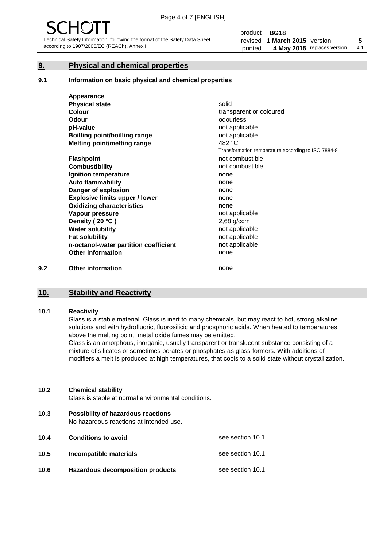#### **9. Physical and chemical properties**

#### **9.1 Information on basic physical and chemical properties**

|     | Appearance                            |                                                    |
|-----|---------------------------------------|----------------------------------------------------|
|     | <b>Physical state</b>                 | solid                                              |
|     | <b>Colour</b>                         | transparent or coloured                            |
|     | <b>Odour</b>                          | odourless                                          |
|     | pH-value                              | not applicable                                     |
|     | <b>Boilling point/boilling range</b>  | not applicable                                     |
|     | Melting point/melting range           | 482 °C                                             |
|     |                                       | Transformation temperature according to ISO 7884-8 |
|     | <b>Flashpoint</b>                     | not combustible                                    |
|     | <b>Combustibility</b>                 | not combustible                                    |
|     | Ignition temperature                  | none                                               |
|     | <b>Auto flammability</b>              | none                                               |
|     | Danger of explosion                   | none                                               |
|     | <b>Explosive limits upper / lower</b> | none                                               |
|     | <b>Oxidizing characteristics</b>      | none                                               |
|     | Vapour pressure                       | not applicable                                     |
|     | Density (20 °C)                       | $2,68$ g/ccm                                       |
|     | <b>Water solubility</b>               | not applicable                                     |
|     | <b>Fat solubility</b>                 | not applicable                                     |
|     | n-octanol-water partition coefficient | not applicable                                     |
|     | <b>Other information</b>              | none                                               |
| 9.2 | <b>Other information</b>              | none                                               |

#### **10. Stability and Reactivity**

#### **10.1 Reactivity**

Glass is a stable material. Glass is inert to many chemicals, but may react to hot, strong alkaline solutions and with hydrofluoric, fluorosilicic and phosphoric acids. When heated to temperatures above the melting point, metal oxide fumes may be emitted.

Glass is an amorphous, inorganic, usually transparent or translucent substance consisting of a mixture of silicates or sometimes borates or phosphates as glass formers. With additions of modifiers a melt is produced at high temperatures, that cools to a solid state without crystallization.

#### **10.2 Chemical stability**

Glass is stable at normal environmental conditions.

**10.3 Possibility of hazardous reactions** 

No hazardous reactions at intended use.

| 10.4 | <b>Conditions to avoid</b>              | see section 10.1 |
|------|-----------------------------------------|------------------|
| 10.5 | Incompatible materials                  | see section 10.1 |
| 10.6 | <b>Hazardous decomposition products</b> | see section 10.1 |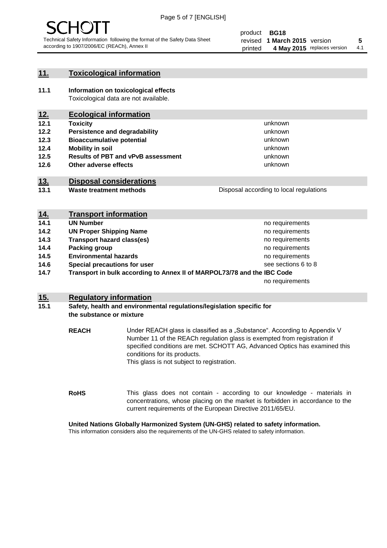

#### **11. Toxicological information**

**11.1 Information on toxicological effects** Toxicological data are not available.

#### **12. Ecological information**

- **12.1 Toxicity**
- **12.2 Persistence and degradability**
- **12.3 Bioaccumulative potential**
- **12.4 Mobility in soil**
- **12.5 Results of PBT and vPvB assessment**
- **12.6 Other adverse effects**

#### **13. Disposal considerations**

**13.1 Waste treatment methods**

Disposal according to local regulations

unknown unknown unknown unknown

unknown unknown

| <u>14.</u> | <b>Transport information</b>                                            |                     |
|------------|-------------------------------------------------------------------------|---------------------|
| 14.1       | <b>UN Number</b>                                                        | no requirements     |
| 14.2       | <b>UN Proper Shipping Name</b>                                          | no requirements     |
| 14.3       | <b>Transport hazard class(es)</b>                                       | no requirements     |
| 14.4       | Packing group                                                           | no requirements     |
| 14.5       | <b>Environmental hazards</b>                                            | no requirements     |
| 14.6       | Special precautions for user                                            | see sections 6 to 8 |
| 14.7       | Transport in bulk according to Annex II of MARPOL73/78 and the IBC Code |                     |
|            |                                                                         | no requirements     |

#### **15. Regulatory information**

#### **15.1 Safety, health and environmental regulations/legislation specific for the substance or mixture**

**REACH** Under REACH glass is classified as a "Substance". According to Appendix V Number 11 of the REACh regulation glass is exempted from registration if specified conditions are met. SCHOTT AG, Advanced Optics has examined this conditions for its products. This glass is not subject to registration.

**RoHS** This glass does not contain - according to our knowledge - materials in concentrations, whose placing on the market is forbidden in accordance to the current requirements of the European Directive 2011/65/EU.

#### **United Nations Globally Harmonized System (UN-GHS) related to safety information.**

This information considers also the requirements of the UN-GHS related to safety information.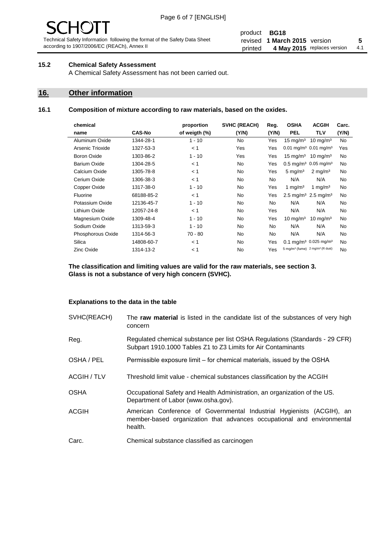# - JF

Technical Safety Information following the format of the Safety Data Sheet according to 1907/2006/EC (REACh), Annex II

#### product **BG18** revised **5 1 March 2015** version printed 4 May 2015 replaces version 4.1

#### **15.2 Chemical Safety Assessment**

A Chemical Safety Assessment has not been carried out.

#### **16. Other information**

l.

#### **16.1 Composition of mixture according to raw materials, based on the oxides.**

| chemical            |               | proportion    | SVHC (REACH) | Reg.      | <b>OSHA</b>                                             | <b>ACGIH</b>                                 | Carc. |
|---------------------|---------------|---------------|--------------|-----------|---------------------------------------------------------|----------------------------------------------|-------|
| name                | <b>CAS-No</b> | of weigth (%) | (Y/N)        | (Y/N)     | <b>PEL</b>                                              | <b>TLV</b>                                   | (Y/N) |
| Aluminum Oxide      | 1344-28-1     | $1 - 10$      | <b>No</b>    | Yes       | $15 \text{ mg/m}^3$                                     | $10 \text{ mg/m}^3$                          | No    |
| Arsenic Trioxide    | 1327-53-3     | < 1           | Yes          | Yes       | $0.01$ mg/m <sup>3</sup> 0.01 mg/m <sup>3</sup>         |                                              | Yes   |
| Boron Oxide         | 1303-86-2     | $1 - 10$      | Yes          | Yes       | $15 \text{ mg/m}^3$                                     | $10 \text{ mg/m}^3$                          | No    |
| <b>Barium Oxide</b> | 1304-28-5     | < 1           | No.          | Yes       | $0.5 \text{ mg/m}^3$ 0.05 mg/m <sup>3</sup>             |                                              | No    |
| Calcium Oxide       | 1305-78-8     | < 1           | No.          | Yes       | $5 \text{ mg/m}^3$                                      | $2 \text{ mg/m}^3$                           | No    |
| Cerium Oxide        | 1306-38-3     | < 1           | No.          | <b>No</b> | N/A                                                     | N/A                                          | No    |
| Copper Oxide        | 1317-38-0     | $1 - 10$      | <b>No</b>    | Yes       | 1 mg/m <sup>3</sup>                                     | 1 mg/m <sup>3</sup>                          | No    |
| <b>Fluorine</b>     | 68188-85-2    | < 1           | No.          | Yes       | 2.5 mg/m <sup>3</sup> 2.5 mg/m <sup>3</sup>             |                                              | No    |
| Potassium Oxide     | 12136-45-7    | $1 - 10$      | No.          | No.       | N/A                                                     | N/A                                          | No    |
| Lithium Oxide       | 12057-24-8    | < 1           | No           | Yes       | N/A                                                     | N/A                                          | No    |
| Magnesium Oxide     | 1309-48-4     | $1 - 10$      | <b>No</b>    | Yes       | 10 mg/m <sup>3</sup>                                    | 10 mg/m <sup>3</sup>                         | No    |
| Sodium Oxide        | 1313-59-3     | $1 - 10$      | <b>No</b>    | <b>No</b> | N/A                                                     | N/A                                          | No    |
| Phosphorous Oxide   | 1314-56-3     | $70 - 80$     | No.          | No.       | N/A                                                     | N/A                                          | No    |
| Silica              | 14808-60-7    | < 1           | No.          | Yes       |                                                         | $0.1 \text{ mg/m}^3$ 0.025 mg/m <sup>3</sup> | No    |
| <b>Zinc Oxide</b>   | 1314-13-2     | < 1           | No.          | Yes       | 5 mg/m <sup>3</sup> (fume) 2 mg/m <sup>3</sup> (R dust) |                                              | No    |
|                     |               |               |              |           |                                                         |                                              |       |

**The classification and limiting values are valid for the raw materials, see section 3. Glass is not a substance of very high concern (SVHC).**

#### **Explanations to the data in the table**

| SVHC(REACH)        | The raw material is listed in the candidate list of the substances of very high<br>concern                                                                 |
|--------------------|------------------------------------------------------------------------------------------------------------------------------------------------------------|
| Reg.               | Regulated chemical substance per list OSHA Regulations (Standards - 29 CFR)<br>Subpart 1910.1000 Tables Z1 to Z3 Limits for Air Contaminants               |
| OSHA / PEL         | Permissible exposure limit – for chemical materials, issued by the OSHA                                                                                    |
| <b>ACGIH / TLV</b> | Threshold limit value - chemical substances classification by the ACGIH                                                                                    |
| <b>OSHA</b>        | Occupational Safety and Health Administration, an organization of the US.<br>Department of Labor (www.osha.gov).                                           |
| ACGIH              | American Conference of Governmental Industrial Hygienists (ACGIH), an<br>member-based organization that advances occupational and environmental<br>health. |
| Carc.              | Chemical substance classified as carcinogen                                                                                                                |